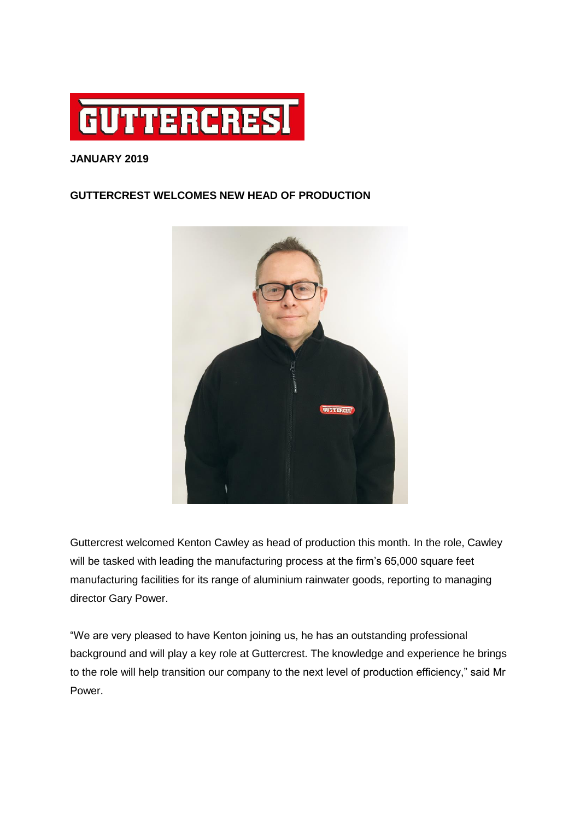

## **JANUARY 2019**

## **GUTTERCREST WELCOMES NEW HEAD OF PRODUCTION**



Guttercrest welcomed Kenton Cawley as head of production this month. In the role, Cawley will be tasked with leading the manufacturing process at the firm's 65,000 square feet manufacturing facilities for its range of aluminium rainwater goods, reporting to managing director Gary Power.

"We are very pleased to have Kenton joining us, he has an outstanding professional background and will play a key role at Guttercrest. The knowledge and experience he brings to the role will help transition our company to the next level of production efficiency," said Mr Power.